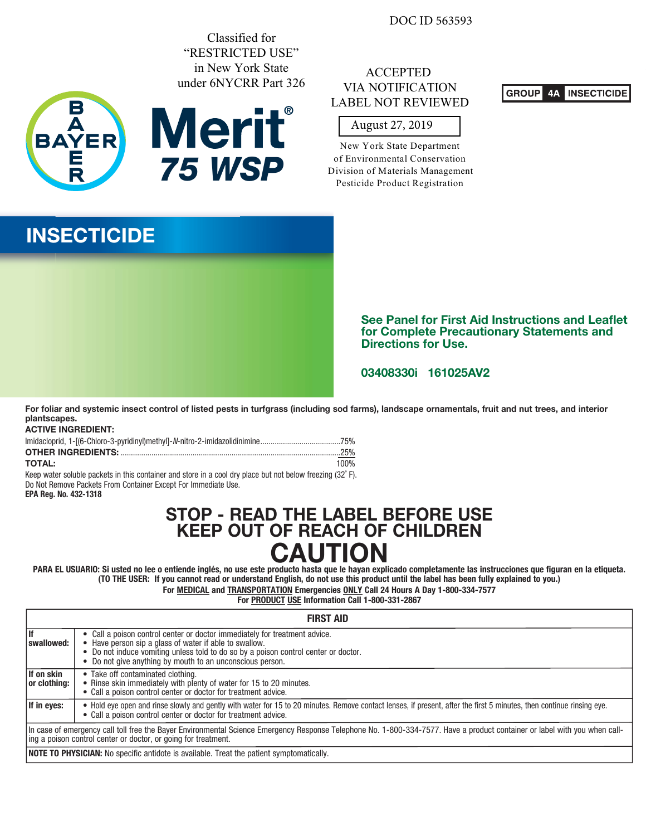DOC ID 563593

Classified for "RESTRICTED USE" in New York State under 6NYCRR Part 326



**75 WSP**

# ACCEPTED VIA NOTIFICATION LABEL NOT REVIEWED

#### GROUP **4A INSECTICIDE**

# August 27, 2019

New York State Department of Environmental Conservation Division of Materials Management Pesticide Product Registration

# **INSECTICIDE**



**See Panel for First Aid Instructions and Leaflet** for Complete Precautionary Statements and **Directions for Use.** 

# **161025AV2 03408330i**

**For foliar and systemic insect control of listed pests in turfgrass (including sod farms), landscape ornamentals, fruit and nut trees, and interior plantscapes.**

### **ACTIVE INGREDIENT:**

| <b>TOTAL:</b> | 100% |
|---------------|------|

Keep water soluble packets in this container and store in a cool dry place but not below freezing (32˚ F). Do Not Remove Packets From Container Except For Immediate Use.

## **EPA Reg. No. 432-1318**

# **STOP - READ THE LABEL BEFORE USE KEEP OUT OF REACH OF CHILDREN PARA EL USUARIO: Si usted no lee o entiende inglés, no use este producto hasta que le hayan explicado completamente las instrucciones que figuran en la etiqueta.**

**(TO THE USER: If you cannot read or understand English, do not use this product until the label has been fully explained to you.)**

**For MEDICAL and TRANSPORTATION Emergencies ONLY Call 24 Hours A Day 1-800-334-7577**

**For PRODUCT USE Information Call 1-800-331-2867**

|                             | <b>FIRST AID</b>                                                                                                                                                                                                                                                                       |
|-----------------------------|----------------------------------------------------------------------------------------------------------------------------------------------------------------------------------------------------------------------------------------------------------------------------------------|
| swallowed:                  | • Call a poison control center or doctor immediately for treatment advice.<br>Have person sip a glass of water if able to swallow.<br>• Do not induce vomiting unless told to do so by a poison control center or doctor.<br>• Do not give anything by mouth to an unconscious person. |
| lf on skin<br> or clothina: | • Take off contaminated clothing.<br>• Rinse skin immediately with plenty of water for 15 to 20 minutes.<br>• Call a poison control center or doctor for treatment advice.                                                                                                             |
| If in eyes:                 | • Hold eye open and rinse slowly and gently with water for 15 to 20 minutes. Remove contact lenses, if present, after the first 5 minutes, then continue rinsing eye.<br>• Call a poison control center or doctor for treatment advice.                                                |
|                             | In case of emergency call toll free the Bayer Environmental Science Emergency Response Telephone No. 1-800-334-7577. Have a product container or label with you when call-<br>ing a poison control center or doctor, or going for treatment.                                           |
|                             | <b>NOTE TO PHYSICIAN:</b> No specific antidote is available. Treat the patient symptomatically.                                                                                                                                                                                        |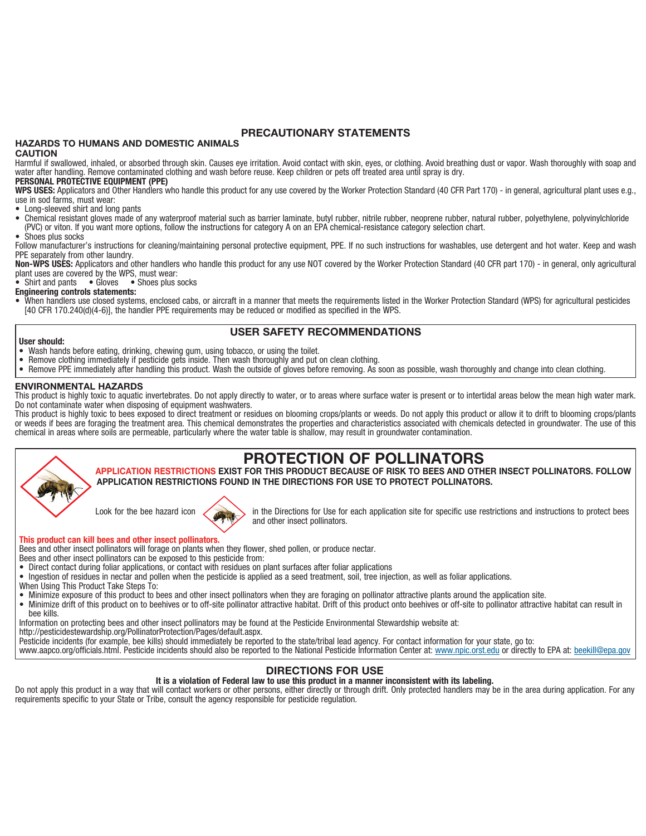# **PRECAUTIONARY STATEMENTS**

# **HAZARDS TO HUMANS AND DOMESTIC ANIMALS**

#### **CAUTION**

Harmful if swallowed, inhaled, or absorbed through skin. Causes eye irritation. Avoid contact with skin, eyes, or clothing. Avoid breathing dust or vapor. Wash thoroughly with soap and water after handling. Remove contaminated clothing and wash before reuse. Keep children or pets off treated area until spray is dry.

#### **PERSONAL PROTECTIVE EQUIPMENT (PPE)**

WPS USES: Applicators and Other Handlers who handle this product for any use covered by the Worker Protection Standard (40 CFR Part 170) - in general, agricultural plant uses e.g., use in sod farms, must wear:

- Long-sleeved shirt and long pants
- Chemical resistant gloves made of any waterproof material such as barrier laminate, butyl rubber, nitrile rubber, neoprene rubber, natural rubber, polyethylene, polyvinylchloride (PVC) or viton. If you want more options, follow the instructions for category A on an EPA chemical-resistance category selection chart.
- Shoes plus socks

**User should:**

Follow manufacturer's instructions for cleaning/maintaining personal protective equipment, PPE. If no such instructions for washables, use detergent and hot water. Keep and wash PPE separately from other laundry.

**Non-WPS USES:** Applicators and other handlers who handle this product for any use NOT covered by the Worker Protection Standard (40 CFR part 170) - in general, only agricultural plant uses are covered by the WPS, must wear:

• Shirt and pants • Gloves • Shoes plus socks

**Engineering controls statements:**

• When handlers use closed systems, enclosed cabs, or aircraft in a manner that meets the requirements listed in the Worker Protection Standard (WPS) for agricultural pesticides [40 CFR 170.240(d)(4-6)], the handler PPE requirements may be reduced or modified as specified in the WPS.

# **USER SAFETY RECOMMENDATIONS**

- Wash hands before eating, drinking, chewing gum, using tobacco, or using the toilet.
- Remove clothing immediately if pesticide gets inside. Then wash thoroughly and put on clean clothing.
- Remove PPE immediately after handling this product. Wash the outside of gloves before removing. As soon as possible, wash thoroughly and change into clean clothing.

#### **ENVIRONMENTAL HAZARDS**

This product is highly toxic to aquatic invertebrates. Do not apply directly to water, or to areas where surface water is present or to intertidal areas below the mean high water mark. Do not contaminate water when disposing of equipment washwaters.

This product is highly toxic to bees exposed to direct treatment or residues on blooming crops/plants or weeds. Do not apply this product or allow it to drift to blooming crops/plants or weeds if bees are foraging the treatment area. This chemical demonstrates the properties and characteristics associated with chemicals detected in groundwater. The use of this chemical in areas where soils are permeable, particularly where the water table is shallow, may result in groundwater contamination.

# **PROTECTION OF POLLINATORS**

**APPLICATION RESTRICTIONS EXIST FOR THIS PRODUCT BECAUSE OF RISK TO BEES AND OTHER INSECT POLLINATORS. FOLLOW APPLICATION RESTRICTIONS FOUND IN THE DIRECTIONS FOR USE TO PROTECT POLLINATORS.**

Look for the bee hazard icon in the Directions for Use for each application site for specific use restrictions and instructions to protect bees and other insect pollinators.

#### **This product can kill bees and other insect pollinators.**

Bees and other insect pollinators will forage on plants when they flower, shed pollen, or produce nectar.

Bees and other insect pollinators can be exposed to this pesticide from:

- Direct contact during foliar applications, or contact with residues on plant surfaces after foliar applications
- Ingestion of residues in nectar and pollen when the pesticide is applied as a seed treatment, soil, tree injection, as well as foliar applications.
- When Using This Product Take Steps To:
- Minimize exposure of this product to bees and other insect pollinators when they are foraging on pollinator attractive plants around the application site.<br>• Minimize drift of this product on to beebives or to off-site po
- Minimize drift of this product on to beehives or to off-site pollinator attractive habitat. Drift of this product onto beehives or off-site to pollinator attractive habitat can result in
- bee kills.

Information on protecting bees and other insect pollinators may be found at the Pesticide Environmental Stewardship website at:

http://pesticidestewardship.org/PollinatorProtection/Pages/default.aspx.

Pesticide incidents (for example, bee kills) should immediately be reported to the state/tribal lead agency. For contact information for your state, go to:

www.aapco.org/officials.html. Pesticide incidents should also be reported to the National Pesticide Information Center at: www.npic.orst.edu or directly to EPA at: beekill@epa.gov

#### **DIRECTIONS FOR USE**

#### **It is a violation of Federal law to use this product in a manner inconsistent with its labeling.**

Do not apply this product in a way that will contact workers or other persons, either directly or through drift. Only protected handlers may be in the area during application. For any requirements specific to your State or Tribe, consult the agency responsible for pesticide regulation.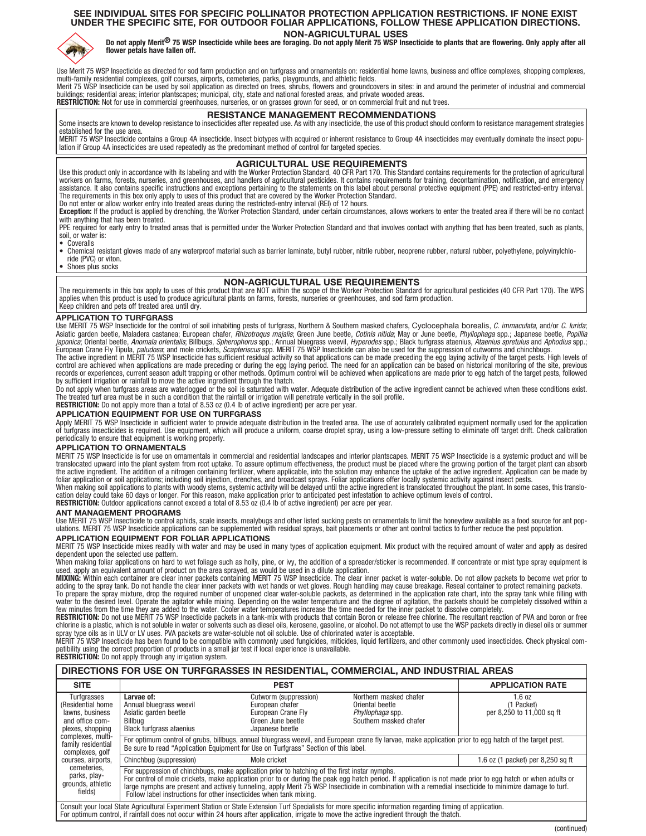# **SEE INDIVIDUAL SITES FOR SPECIFIC POLLINATOR PROTECTION APPLICATION RESTRICTIONS. IF NONE EXIST UNDER THE SPECIFIC SITE, FOR OUTDOOR FOLIAR APPLICATIONS, FOLLOW THESE APPLICATION DIRECTIONS.**



NON-AGRICULTURAL USES<br>Do not apply Merit<sup>®</sup> 75 WSP Insecticide while bees are foraging. Do not apply Merit 75 WSP Insecticide to plants that are flowering. Only apply after all<br>flower petals have fallen off.

Use Merit 75 WSP Insecticide as directed for sod farm production and on turfgrass and ornamentals on: residential home lawns, business and office complexes, shopping complexes,<br>multi-family residential complexes, golf cour

buildings; residential areas; interior plantscapes; municipal, city, state and national forested areas, and private wooded areas. **RESTRICTION:** Not for use in commercial greenhouses, nurseries, or on grasses grown for seed, or on commercial fruit and nut trees.

**RESISTANCE MANAGEMENT RECOMMENDATIONS** Some insects are known to develop resistance to insecticides after repeated use. As with any insecticide, the use of this product should conform to resistance management strategies established for the use area.

MERIT 75 WSP Insecticide contains a Group 4A insecticide. Insect biotypes with acquired or inherent resistance to Group 4A insecticides may eventually dominate the insect population if Group 4A insecticides are used repeatedly as the predominant method of control for targeted species.

#### **AGRICULTURAL USE REQUIREMENTS**

Use this product only in accordance with its labeling and with the Worker Protection Standard, 40 CFR Part 170. This Standard contains requirements for the protection of agricultural workers on farms, forests, nurseries, and greenhouses, and handlers of agricultural pesticides. It contains requirements for training, decontamination, notification, and emergency assistance. It also contains specific instructions and exceptions pertaining to the statements on this label about personal protective equipment (PPE) and restricted-entry interval.<br>The requirements in this box only apply Do not enter or allow worker entry into treated areas during the restricted-entry interval (REI) of 12 hours.

**Exception:** If the product is applied by drenching, the Worker Protection Standard, under certain circumstances, allows workers to enter the treated area if there will be no contact with anything that has been treated.

PPE required for early entry to treated areas that is permitted under the Worker Protection Standard and that involves contact with anything that has been treated, such as plants, soil, or water is:

• Coveralls

• Chemical resistant gloves made of any waterproof material such as barrier laminate, butyl rubber, nitrile rubber, neoprene rubber, natural rubber, polyethylene, polyvinylchloride (PVC) or viton.

• Shoes plus socks

# **NON-AGRICULTURAL USE REQUIREMENTS**

The requirements in this box apply to uses of this product that are NOT within the scope of the Worker Protection Standard for agricultural pesticides (40 CFR Part 170). The WPS<br>applies when this product is used to produce Keep children and pets off treated area until dry.

#### **APPLICATION TO TURFGRASS**

Use MERIT 75 WSP Insecticide for the control of soil inhabiting pests of turfgrass, Northern & Southern masked chafers, Cyclocephala borealis, C. immaculata, and/or C. lurida; Asiatic garden beetle, Maladera castanea; European chafer, *Rhizotroqus majalis*; Green June beetle, Cotinis nitida; May or June beetle, Phyllophaga spp.; Japanese beetle, Popillia *japonica*; Oriental beetle, *Anomala orientalis*; Billbugs, *Spherophorus* spp.; Annual bluegrass weevil, *Hyperodes* spp.; Black turfgrass ataenius, *Ataenius spretulus* and *Aphodius* spp.;<br>European Crane Fly Tipula, *p* 

control are achieved when applications are made preceding or during the egg laying period. The need for an application can be based on historical monitoring of the site, previous<br>records or experiences, current season adul by sufficient irrigation or rainfall to move the active ingredient through the thatch.

Do not apply when turfgrass areas are waterlogged or the soil is saturated with water. Adequate distribution of the active ingredient cannot be achieved when these conditions exist. The treated turf area must be in such a condition that the rainfall or irrigation will penetrate vertically in the soil profile.<br>**RESTRICTION:** Do not apply more than a total of 8.53 oz (0.4 lb of active ingredient) per ac

#### **APPLICATION EQUIPMENT FOR USE ON TURFGRASS**

Apply MERIT 75 WSP Insecticide in sufficient water to provide adequate distribution in the treated area. The use of accurately calibrated equipment normally used for the application<br>of turfgrass insecticides is required. U periodically to ensure that equipment is working properly.

**APPLICATION TO ORNAMENTALS**<br>MERIT 75 WSP Insecticide is for use on ornamentals in commercial and residential landscapes and interior plantscapes. MERIT 75 WSP Insecticide is a systemic product and will be<br>translocated upw foliar application or soil applications; including soil injection, drenches, and broadcast sprays. Foliar applications offer locally systemic activity against insect pests.

When making soil applications to plants with woody stems, systemic activity will be delayed until the active ingredient is translocated throughout the plant. In some cases, this translocation delay could take 60 days or longer. For this reason, make application prior to anticipated pest infestation to achieve optimum levels of control.

**RESTRICTION:** Outdoor applications cannot exceed a total of 8.53 oz (0.4 lb of active ingredient) per acre per year.

#### **ANT MANAGEMENT PROGRAMS**

Use MERIT 75 WSP Insecticide to control aphids, scale insects, mealybugs and other listed sucking pests on ornamentals to limit the honeydew available as a food source for ant pop-<br>ulations. MERIT 75 WSP Insecticide applic

# **APPLICATION EQUIPMENT FOR FOLIAR APPLICATIONS**

MERIT 75 WSP Insecticide mixes readily with water and may be used in many types of application equipment. Mix product with the required amount of water and apply as desired dependent upon the selected use pattern.

When making foliar applications on hard to wet foliage such as holly, pine, or ivy, the addition of a spreader/sticker is recommended. If concentrate or mist type spray equipment is

used, apply an equivalent amount of product on the area sprayed, as would be used in a dilute application.<br>MIXING: Within each container are clear inner packets containing MERIT 75 WSP Insecticide. The clear inner packet i

water to the desired level. Operate the agitator while mixing. Depending on the water temperature and the degree of agitation, the packets should be completely dissolved within a<br>RESTRICTION: Do not use MERIT 75 WSP Insect

MERIT 75 WSP Insecticide has been found to be compatible with commonly used fungicides, miticides, liquid fertilizers, and other commonly used insecticides. Check physical compatibility using the correct proportion of products in a small jar test if local experience is unavailable.<br>**RESTRICTION:** Do not apply through any irrigation system.

| DIRECTIONS FOR USE ON TURFGRASSES IN RESIDENTIAL, COMMERCIAL, AND INDUSTRIAL AREAS                                                                                                                 |                                                                                                                                                                                                                                                                                                                                                                                                                                                                                               |                                                                                                        |                                                                                                                                                                                                                                                    |                                                   |  |  |
|----------------------------------------------------------------------------------------------------------------------------------------------------------------------------------------------------|-----------------------------------------------------------------------------------------------------------------------------------------------------------------------------------------------------------------------------------------------------------------------------------------------------------------------------------------------------------------------------------------------------------------------------------------------------------------------------------------------|--------------------------------------------------------------------------------------------------------|----------------------------------------------------------------------------------------------------------------------------------------------------------------------------------------------------------------------------------------------------|---------------------------------------------------|--|--|
| <b>SITE</b>                                                                                                                                                                                        | <b>PEST</b>                                                                                                                                                                                                                                                                                                                                                                                                                                                                                   |                                                                                                        |                                                                                                                                                                                                                                                    | <b>APPLICATION RATE</b>                           |  |  |
| Turfgrasses<br>(Residential home<br>lawns, business<br>and office com-<br>plexes, shopping<br>complexes, multi-                                                                                    | Larvae of:<br>Annual bluegrass weevil<br>Asiatic garden beetle<br>Billbua<br><b>Black turfgrass ataenius</b>                                                                                                                                                                                                                                                                                                                                                                                  | Cutworm (suppression)<br>European chafer<br>European Crane Fly<br>Green June beetle<br>Japanese beetle | Northern masked chafer<br>Oriental beetle<br>Phyllophaga spp.<br>Southern masked chafer<br>For optimum control of grubs, billbugs, annual bluegrass weevil, and European crane fly larvae, make application prior to egg hatch of the target pest. | 1.6 oz<br>(1 Packet)<br>per 8,250 to 11,000 sq ft |  |  |
| family residential<br>complexes, golf                                                                                                                                                              | Be sure to read "Application Equipment for Use on Turfgrass" Section of this label.                                                                                                                                                                                                                                                                                                                                                                                                           |                                                                                                        |                                                                                                                                                                                                                                                    |                                                   |  |  |
| courses, airports,                                                                                                                                                                                 | Chinchbug (suppression)                                                                                                                                                                                                                                                                                                                                                                                                                                                                       | Mole cricket                                                                                           |                                                                                                                                                                                                                                                    | 1.6 oz (1 packet) per $8,250$ sq ft               |  |  |
| cemeteries,<br>parks, play-<br>grounds, athletic<br>fields)<br>According to change Androding I Francisco Antique of Annual Francisco Trail According to according the construction of continuation | For suppression of chinchbugs, make application prior to hatching of the first instar nymphs.<br>For control of mole crickets, make application prior to or during the peak egg hatch period. If application is not made prior to egg hatch or when adults or<br>large nymphs are present and actively tunneling, apply Merit 75 WSP Insecticide in combination with a remedial insecticide to minimize damage to turf.<br>Follow label instructions for other insecticides when tank mixing. |                                                                                                        |                                                                                                                                                                                                                                                    |                                                   |  |  |

Consult your local State Agricultural Experiment Station or State Extension Turf Specialists for more specific information regarding timing of application.<br>For optimum control, if rainfall does not occur within 24 hours af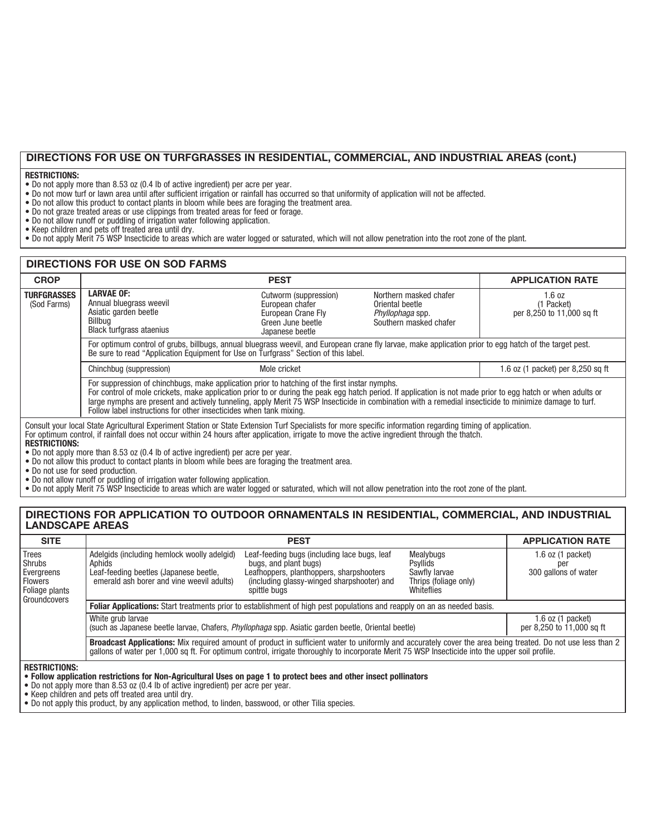# **DIRECTIONS FOR USE ON TURFGRASSES IN RESIDENTIAL, COMMERCIAL, AND INDUSTRIAL AREAS (cont.)**

#### **RESTRICTIONS:**

- Do not apply more than 8.53 oz (0.4 lb of active ingredient) per acre per year.
- Do not mow turf or lawn area until after sufficient irrigation or rainfall has occurred so that uniformity of application will not be affected.
- Do not allow this product to contact plants in bloom while bees are foraging the treatment area.
- Do not graze treated areas or use clippings from treated areas for feed or forage.
- Do not allow runoff or puddling of irrigation water following application.
- Keep children and pets off treated area until dry.
- Do not apply Merit 75 WSP Insecticide to areas which are water logged or saturated, which will not allow penetration into the root zone of the plant.

#### **DIRECTIONS FOR USE ON SOD FARMS PEST PEST APPLICATION RATE TURFGRASSES** (Sod Farms) **LARVAE OF:** Annual bluegrass weevil Asiatic garden beetle Billbug Black turfgrass ataenius Cutworm (suppression) European chafer European Crane Fly Green June beetle Japanese beetle 1.6 oz (1 Packet) per 8,250 to 11,000 sq ft For optimum control of grubs, billbugs, annual bluegrass weevil, and European crane fly larvae, make application prior to egg hatch of the target pest. Be sure to read "Application Equipment for Use on Turfgrass" Section of this label. Chinchbug (suppression) Mole cricket Mole cricket 1.6 oz (1 packet) per 8,250 sq ft For suppression of chinchbugs, make application prior to hatching of the first instar nymphs. For control of mole crickets, make application prior to or during the peak egg hatch period. If application is not made prior to egg hatch or when adults or large nymphs are present and actively tunneling, apply Merit 75 WSP Insecticide in combination with a remedial insecticide to minimize damage to turf. Follow label instructions for other insecticides when tank mixing. Northern masked chafer Oriental beetle Phyllophaga spp. Southern masked chafer **CROP** Consult your local State Agricultural Experiment Station or State Extension Turf Specialists for more specific information regarding timing of application. For optimum control, if rainfall does not occur within 24 hours after application, irrigate to move the active ingredient through the thatch. **RESTRICTIONS:**

• Do not apply more than 8.53 oz (0.4 lb of active ingredient) per acre per year.

- Do not allow this product to contact plants in bloom while bees are foraging the treatment area.
- Do not use for seed production.
- Do not allow runoff or puddling of irrigation water following application.

• Do not apply Merit 75 WSP Insecticide to areas which are water logged or saturated, which will not allow penetration into the root zone of the plant.

### **DIRECTIONS FOR APPLICATION TO OUTDOOR ORNAMENTALS IN RESIDENTIAL, COMMERCIAL, AND INDUSTRIAL LANDSCAPE AREAS**

| <b>SITE</b>                                                                        |                                                                                                                                              | <b>APPLICATION RATE</b>                                                                                                                                                                                                                                                                                        |                                                                               |                                                      |  |
|------------------------------------------------------------------------------------|----------------------------------------------------------------------------------------------------------------------------------------------|----------------------------------------------------------------------------------------------------------------------------------------------------------------------------------------------------------------------------------------------------------------------------------------------------------------|-------------------------------------------------------------------------------|------------------------------------------------------|--|
| l Trees<br>  Shrubs<br>Evergreens<br>l Flowers<br>Foliage plants<br>l Groundcovers | Adelgids (including hemlock woolly adelgid)<br>Aphids<br>Leaf-feeding beetles (Japanese beetle,<br>emerald ash borer and vine weevil adults) | Leaf-feeding bugs (including lace bugs, leaf<br>bugs, and plant bugs)<br>Leafhoppers, planthoppers, sharpshooters<br>(including glassy-winged sharpshooter) and<br>spittle bugs                                                                                                                                | Mealybugs<br>Psyllids<br>Sawfly larvae<br>Thrips (foliage only)<br>Whiteflies | $1.6$ oz $(1$ packet)<br>per<br>300 gallons of water |  |
|                                                                                    | Foliar Applications: Start treatments prior to establishment of high pest populations and reapply on an as needed basis.                     |                                                                                                                                                                                                                                                                                                                |                                                                               |                                                      |  |
|                                                                                    | White grub larvae<br>(such as Japanese beetle larvae, Chafers, <i>Phyllophaga</i> spp. Asiatic garden beetle, Oriental beetle)               | $1.6$ oz $(1$ packet)<br>per 8,250 to 11,000 sq ft                                                                                                                                                                                                                                                             |                                                                               |                                                      |  |
|                                                                                    |                                                                                                                                              | Broadcast Applications: Mix required amount of product in sufficient water to uniformly and accurately cover the area being treated. Do not use less than 2<br>gallons of water per 1,000 sq ft. For optimum control, irrigate thoroughly to incorporate Merit 75 WSP Insecticide into the upper soil profile. |                                                                               |                                                      |  |

**RESTRICTIONS:**

• **Follow application restrictions for Non-Agricultural Uses on page 1 to protect bees and other insect pollinators**

- Do not apply more than 8.53 oz (0.4 lb of active ingredient) per acre per year.
- Keep children and pets off treated area until dry.
- Do not apply this product, by any application method, to linden, basswood, or other Tilia species.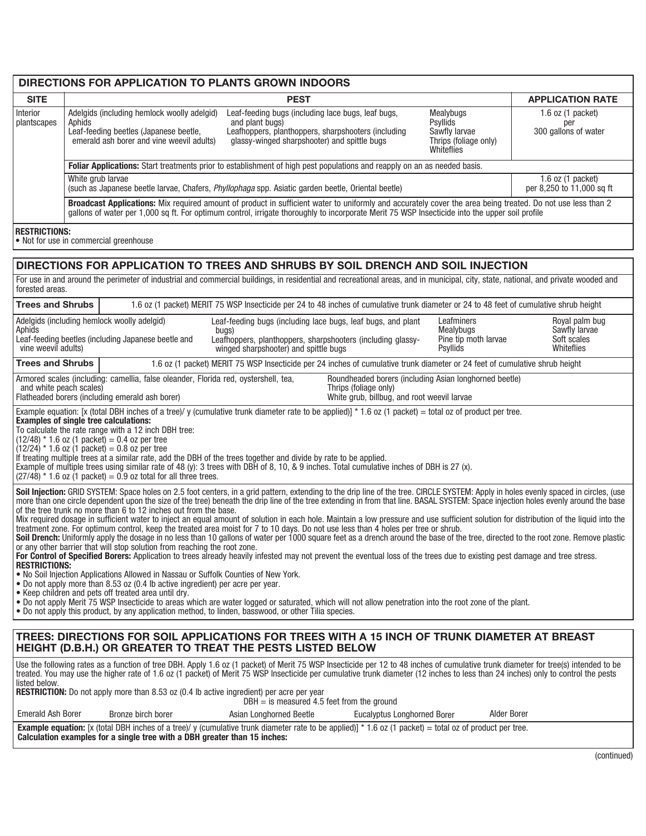# **DIRECTIONS FOR APPLICATION TO PLANTS GROWN INDOORS**

| <b>SITE</b>                                                                                                                                                                                                                                                                                                                                                                                                                                                                                                                                      |                                                                                                                                                                                                                                                         |  | <b>PEST</b>                                                                                                                                                                                                                                                                                                                                                            |                                                                      |                                        | <b>APPLICATION RATE</b>      |
|--------------------------------------------------------------------------------------------------------------------------------------------------------------------------------------------------------------------------------------------------------------------------------------------------------------------------------------------------------------------------------------------------------------------------------------------------------------------------------------------------------------------------------------------------|---------------------------------------------------------------------------------------------------------------------------------------------------------------------------------------------------------------------------------------------------------|--|------------------------------------------------------------------------------------------------------------------------------------------------------------------------------------------------------------------------------------------------------------------------------------------------------------------------------------------------------------------------|----------------------------------------------------------------------|----------------------------------------|------------------------------|
| Interior                                                                                                                                                                                                                                                                                                                                                                                                                                                                                                                                         | Adelgids (including hemlock woolly adelgid)                                                                                                                                                                                                             |  | Leaf-feeding bugs (including lace bugs, leaf bugs,                                                                                                                                                                                                                                                                                                                     |                                                                      | Mealybugs                              | 1.6 oz $(1$ packet)          |
| plantscapes                                                                                                                                                                                                                                                                                                                                                                                                                                                                                                                                      | Aphids                                                                                                                                                                                                                                                  |  | and plant bugs)                                                                                                                                                                                                                                                                                                                                                        |                                                                      | Psyllids                               | per                          |
|                                                                                                                                                                                                                                                                                                                                                                                                                                                                                                                                                  | Leaf-feeding beetles (Japanese beetle,<br>emerald ash borer and vine weevil adults)                                                                                                                                                                     |  | Leafhoppers, planthoppers, sharpshooters (including<br>glassy-winged sharpshooter) and spittle bugs                                                                                                                                                                                                                                                                    |                                                                      | Sawfly larvae<br>Thrips (foliage only) | 300 gallons of water         |
|                                                                                                                                                                                                                                                                                                                                                                                                                                                                                                                                                  |                                                                                                                                                                                                                                                         |  |                                                                                                                                                                                                                                                                                                                                                                        |                                                                      | Whiteflies                             |                              |
|                                                                                                                                                                                                                                                                                                                                                                                                                                                                                                                                                  | Foliar Applications: Start treatments prior to establishment of high pest populations and reapply on an as needed basis.                                                                                                                                |  |                                                                                                                                                                                                                                                                                                                                                                        |                                                                      |                                        |                              |
|                                                                                                                                                                                                                                                                                                                                                                                                                                                                                                                                                  | White grub larvae                                                                                                                                                                                                                                       |  |                                                                                                                                                                                                                                                                                                                                                                        |                                                                      |                                        | $1.6$ oz $(1$ packet)        |
|                                                                                                                                                                                                                                                                                                                                                                                                                                                                                                                                                  |                                                                                                                                                                                                                                                         |  | (such as Japanese beetle larvae, Chafers, Phyllophaga spp. Asiatic garden beetle, Oriental beetle)                                                                                                                                                                                                                                                                     |                                                                      |                                        | per 8,250 to 11,000 sq ft    |
|                                                                                                                                                                                                                                                                                                                                                                                                                                                                                                                                                  |                                                                                                                                                                                                                                                         |  | Broadcast Applications: Mix required amount of product in sufficient water to uniformly and accurately cover the area being treated. Do not use less than 2<br>gallons of water per 1,000 sq ft. For optimum control, irrigate thoroughly to incorporate Merit 75 WSP Insecticide into the upper soil profile                                                          |                                                                      |                                        |                              |
| <b>RESTRICTIONS:</b>                                                                                                                                                                                                                                                                                                                                                                                                                                                                                                                             | • Not for use in commercial greenhouse                                                                                                                                                                                                                  |  |                                                                                                                                                                                                                                                                                                                                                                        |                                                                      |                                        |                              |
|                                                                                                                                                                                                                                                                                                                                                                                                                                                                                                                                                  |                                                                                                                                                                                                                                                         |  | DIRECTIONS FOR APPLICATION TO TREES AND SHRUBS BY SOIL DRENCH AND SOIL INJECTION                                                                                                                                                                                                                                                                                       |                                                                      |                                        |                              |
| forested areas.                                                                                                                                                                                                                                                                                                                                                                                                                                                                                                                                  |                                                                                                                                                                                                                                                         |  | For use in and around the perimeter of industrial and commercial buildings, in residential and recreational areas, and in municipal, city, state, national, and private wooded and                                                                                                                                                                                     |                                                                      |                                        |                              |
| <b>Trees and Shrubs</b>                                                                                                                                                                                                                                                                                                                                                                                                                                                                                                                          |                                                                                                                                                                                                                                                         |  | 1.6 oz (1 packet) MERIT 75 WSP Insecticide per 24 to 48 inches of cumulative trunk diameter or 24 to 48 feet of cumulative shrub height                                                                                                                                                                                                                                |                                                                      |                                        |                              |
|                                                                                                                                                                                                                                                                                                                                                                                                                                                                                                                                                  | Adelgids (including hemlock woolly adelgid)                                                                                                                                                                                                             |  | Leaf-feeding bugs (including lace bugs, leaf bugs, and plant                                                                                                                                                                                                                                                                                                           |                                                                      | Leafminers                             | Royal palm bug               |
| Aphids                                                                                                                                                                                                                                                                                                                                                                                                                                                                                                                                           | Leaf-feeding beetles (including Japanese beetle and                                                                                                                                                                                                     |  | bugs)<br>Leafhoppers, planthoppers, sharpshooters (including glassy-                                                                                                                                                                                                                                                                                                   |                                                                      | Mealybugs<br>Pine tip moth larvae      | Sawfly larvae<br>Soft scales |
| vine weevil adults)                                                                                                                                                                                                                                                                                                                                                                                                                                                                                                                              |                                                                                                                                                                                                                                                         |  | winged sharpshooter) and spittle bugs                                                                                                                                                                                                                                                                                                                                  |                                                                      | Psyllids                               | Whiteflies                   |
| <b>Trees and Shrubs</b>                                                                                                                                                                                                                                                                                                                                                                                                                                                                                                                          |                                                                                                                                                                                                                                                         |  | 1.6 oz (1 packet) MERIT 75 WSP Insecticide per 24 inches of cumulative trunk diameter or 24 feet of cumulative shrub height                                                                                                                                                                                                                                            |                                                                      |                                        |                              |
|                                                                                                                                                                                                                                                                                                                                                                                                                                                                                                                                                  | Armored scales (including: camellia, false oleander, Florida red, oystershell, tea,                                                                                                                                                                     |  |                                                                                                                                                                                                                                                                                                                                                                        | Roundheaded borers (including Asian longhorned beetle)               |                                        |                              |
| and white peach scales)                                                                                                                                                                                                                                                                                                                                                                                                                                                                                                                          | Flatheaded borers (including emerald ash borer)                                                                                                                                                                                                         |  |                                                                                                                                                                                                                                                                                                                                                                        | Thrips (foliage only)<br>White grub, billbug, and root weevil larvae |                                        |                              |
| <b>Examples of single tree calculations:</b><br>To calculate the rate range with a 12 inch DBH tree:<br>$(12/48)$ * 1.6 oz (1 packet) = 0.4 oz per tree<br>$(12/24)$ * 1.6 oz (1 packet) = 0.8 oz per tree<br>If treating multiple trees at a similar rate, add the DBH of the trees together and divide by rate to be applied.<br>Example of multiple trees using similar rate of 48 (y): 3 trees with DBH of 8, 10, & 9 inches. Total cumulative inches of DBH is 27 (x).<br>$(27/48)$ * 1.6 oz (1 packet) = 0.9 oz total for all three trees. |                                                                                                                                                                                                                                                         |  |                                                                                                                                                                                                                                                                                                                                                                        |                                                                      |                                        |                              |
|                                                                                                                                                                                                                                                                                                                                                                                                                                                                                                                                                  |                                                                                                                                                                                                                                                         |  | Soil Injection: GRID SYSTEM: Space holes on 2.5 foot centers, in a grid pattern, extending to the drip line of the tree. CIRCLE SYSTEM: Apply in holes evenly spaced in circles, (use                                                                                                                                                                                  |                                                                      |                                        |                              |
|                                                                                                                                                                                                                                                                                                                                                                                                                                                                                                                                                  | more than one circle dependent upon the size of the tree) beneath the drip line of the tree extending in from that line. BASAL SYSTEM: Space injection holes evenly around the base<br>of the tree trunk no more than 6 to 12 inches out from the base. |  |                                                                                                                                                                                                                                                                                                                                                                        |                                                                      |                                        |                              |
|                                                                                                                                                                                                                                                                                                                                                                                                                                                                                                                                                  |                                                                                                                                                                                                                                                         |  | Mix required dosage in sufficient water to inject an equal amount of solution in each hole. Maintain a low pressure and use sufficient solution for distribution of the liquid into the<br>treatment zone. For optimum control, keep the treated area moist for 7 to 10 days. Do not use less than 4 holes per tree or shrub.                                          |                                                                      |                                        |                              |
|                                                                                                                                                                                                                                                                                                                                                                                                                                                                                                                                                  |                                                                                                                                                                                                                                                         |  | Soil Drench: Uniformly apply the dosage in no less than 10 gallons of water per 1000 square feet as a drench around the base of the tree, directed to the root zone. Remove plastic                                                                                                                                                                                    |                                                                      |                                        |                              |
|                                                                                                                                                                                                                                                                                                                                                                                                                                                                                                                                                  | or any other barrier that will stop solution from reaching the root zone.<br>For Control of Specified Borers: Application to trees already heavily infested may not prevent the eventual loss of the trees due to existing pest damage and tree stress. |  |                                                                                                                                                                                                                                                                                                                                                                        |                                                                      |                                        |                              |
|                                                                                                                                                                                                                                                                                                                                                                                                                                                                                                                                                  | <b>RESTRICTIONS:</b><br>• No Soil Injection Applications Allowed in Nassau or Suffolk Counties of New York.                                                                                                                                             |  |                                                                                                                                                                                                                                                                                                                                                                        |                                                                      |                                        |                              |
| . Do not apply more than 8.53 oz (0.4 lb active ingredient) per acre per year.                                                                                                                                                                                                                                                                                                                                                                                                                                                                   |                                                                                                                                                                                                                                                         |  |                                                                                                                                                                                                                                                                                                                                                                        |                                                                      |                                        |                              |
|                                                                                                                                                                                                                                                                                                                                                                                                                                                                                                                                                  | • Keep children and pets off treated area until dry.<br>. Do not apply Merit 75 WSP Insecticide to areas which are water logged or saturated, which will not allow penetration into the root zone of the plant.                                         |  |                                                                                                                                                                                                                                                                                                                                                                        |                                                                      |                                        |                              |
| • Do not apply this product, by any application method, to linden, basswood, or other Tilia species.                                                                                                                                                                                                                                                                                                                                                                                                                                             |                                                                                                                                                                                                                                                         |  |                                                                                                                                                                                                                                                                                                                                                                        |                                                                      |                                        |                              |
|                                                                                                                                                                                                                                                                                                                                                                                                                                                                                                                                                  |                                                                                                                                                                                                                                                         |  |                                                                                                                                                                                                                                                                                                                                                                        |                                                                      |                                        |                              |
|                                                                                                                                                                                                                                                                                                                                                                                                                                                                                                                                                  |                                                                                                                                                                                                                                                         |  | TREES: DIRECTIONS FOR SOIL APPLICATIONS FOR TREES WITH A 15 INCH OF TRUNK DIAMETER AT BREAST<br><b>HEIGHT (D.B.H.) OR GREATER TO TREAT THE PESTS LISTED BELOW</b>                                                                                                                                                                                                      |                                                                      |                                        |                              |
| listed below.                                                                                                                                                                                                                                                                                                                                                                                                                                                                                                                                    |                                                                                                                                                                                                                                                         |  | Use the following rates as a function of tree DBH. Apply 1.6 oz (1 packet) of Merit 75 WSP Insecticide per 12 to 48 inches of cumulative trunk diameter for tree(s) intended to be<br>treated. You may use the higher rate of 1.6 oz (1 packet) of Merit 75 WSP Insecticide per cumulative trunk diameter (12 inches to less than 24 inches) only to control the pests |                                                                      |                                        |                              |
|                                                                                                                                                                                                                                                                                                                                                                                                                                                                                                                                                  |                                                                                                                                                                                                                                                         |  | <b>RESTRICTION:</b> Do not apply more than 8.53 oz (0.4 lb active ingredient) per acre per year<br>$DBH =$ is measured 4.5 feet from the ground                                                                                                                                                                                                                        |                                                                      |                                        |                              |
| <b>Emerald Ash Borer</b>                                                                                                                                                                                                                                                                                                                                                                                                                                                                                                                         | Bronze birch borer<br><b>Alder Borer</b><br>Asian Longhorned Beetle<br>Eucalyptus Longhorned Borer                                                                                                                                                      |  |                                                                                                                                                                                                                                                                                                                                                                        |                                                                      |                                        |                              |
|                                                                                                                                                                                                                                                                                                                                                                                                                                                                                                                                                  | Calculation examples for a single tree with a DBH greater than 15 inches:                                                                                                                                                                               |  | Example equation: [x (total DBH inches of a tree)/y (cumulative trunk diameter rate to be applied)] * 1.6 oz (1 packet) = total oz of product per tree.                                                                                                                                                                                                                |                                                                      |                                        |                              |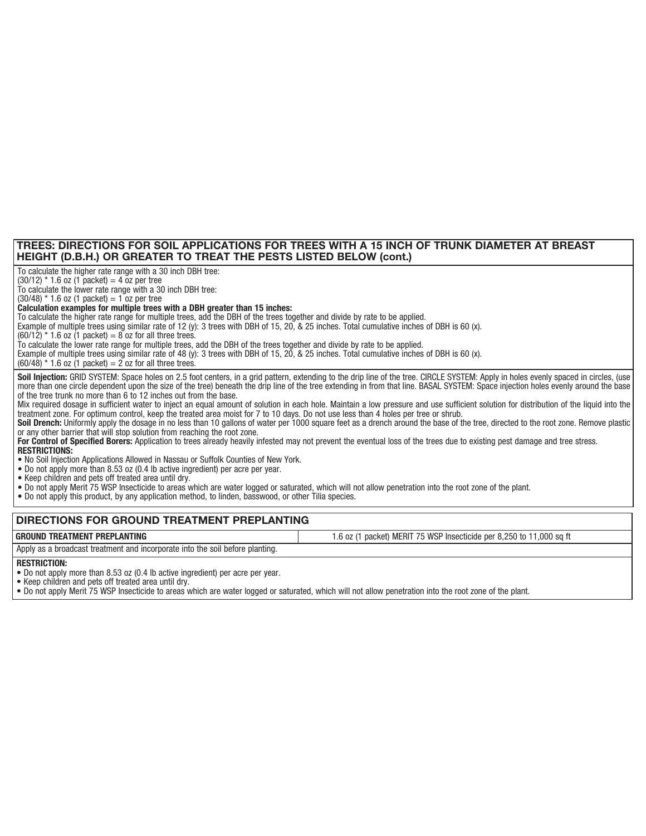### **TREES: DIRECTIONS FOR SOIL APPLICATIONS FOR TREES WITH A 15 INCH OF TRUNK DIAMETER AT BREAST HEIGHT (D.B.H.) OR GREATER TO TREAT THE PESTS LISTED BELOW (cont.)**

To calculate the higher rate range with a 30 inch DBH tree:

 $(30/12)$  \* 1.6 oz (1 packet) = 4 oz per tree

To calculate the lower rate range with a 30 inch DBH tree:

 $(30/48)$  \* 1.6 oz (1 packet) = 1 oz per tree

### **Calculation examples for multiple trees with a DBH greater than 15 inches:**

To calculate the higher rate range for multiple trees, add the DBH of the trees together and divide by rate to be applied.

Example of multiple trees using similar rate of 12 (y): 3 trees with DBH of 15, 20, & 25 inches. Total cumulative inches of DBH is 60 (x).

 $(60/12)$  \* 1.6 oz (1 packet) = 8 oz for all three trees.

To calculate the lower rate range for multiple trees, add the DBH of the trees together and divide by rate to be applied.

Example of multiple trees using similar rate of 48 (y): 3 trees with DBH of 15, 20, & 25 inches. Total cumulative inches of DBH is 60 (x).

 $(60/48)$  \* 1.6 oz (1 packet) = 2 oz for all three trees.

Soil Injection: GRID SYSTEM: Space holes on 2.5 foot centers, in a grid pattern, extending to the drip line of the tree. CIRCLE SYSTEM: Apply in holes evenly spaced in circles, (use more than one circle dependent upon the size of the tree) beneath the drip line of the tree extending in from that line. BASAL SYSTEM: Space injection holes evenly around the base of the tree trunk no more than 6 to 12 inches out from the base.

Mix required dosage in sufficient water to inject an equal amount of solution in each hole. Maintain a low pressure and use sufficient solution for distribution of the liquid into the treatment zone. For optimum control, keep the treated area moist for 7 to 10 days. Do not use less than 4 holes per tree or shrub.

Soil Drench: Uniformly apply the dosage in no less than 10 gallons of water per 1000 square feet as a drench around the base of the tree, directed to the root zone. Remove plastic or any other barrier that will stop solution from reaching the root zone.

1.6 oz (1 packet) MERIT 75 WSP Insecticide per 8,250 to 11,000 sq ft

For Control of Specified Borers: Application to trees already heavily infested may not prevent the eventual loss of the trees due to existing pest damage and tree stress. **RESTRICTIONS:**

• No Soil Injection Applications Allowed in Nassau or Suffolk Counties of New York.

• Do not apply more than 8.53 oz (0.4 lb active ingredient) per acre per year.

• Keep children and pets off treated area until dry.

• Do not apply Merit 75 WSP Insecticide to areas which are water logged or saturated, which will not allow penetration into the root zone of the plant.

• Do not apply this product, by any application method, to linden, basswood, or other Tilia species.

#### **DIRECTIONS FOR GROUND TREATMENT PREPLANTING**

#### **GROUND TREATMENT PREPLANTING**

Apply as a broadcast treatment and incorporate into the soil before planting.

#### **RESTRICTION:**

• Do not apply more than 8.53 oz (0.4 lb active ingredient) per acre per year.

• Keep children and pets off treated area until dry.

• Do not apply Merit 75 WSP Insecticide to areas which are water logged or saturated, which will not allow penetration into the root zone of the plant.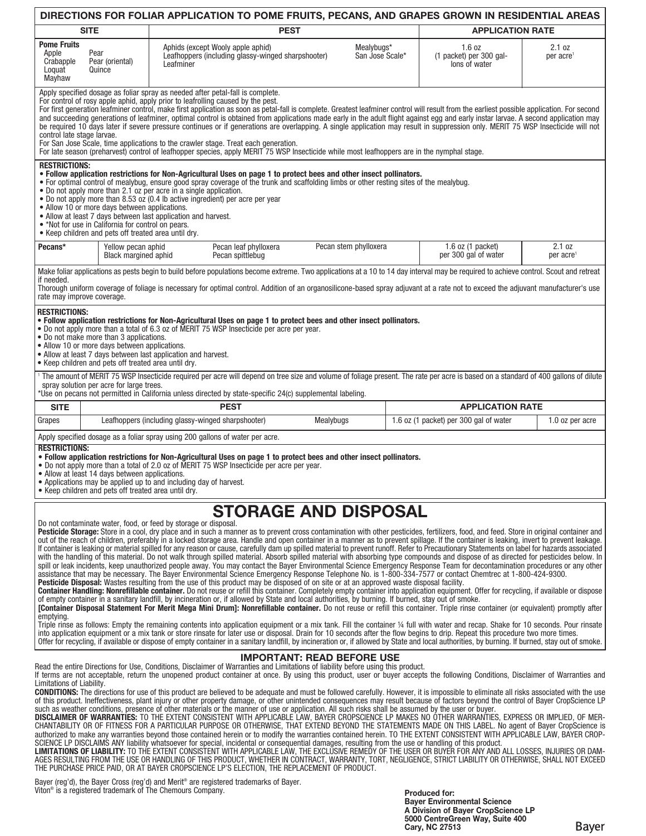| DIRECTIONS FOR FOLIAR APPLICATION TO POME FRUITS, PECANS, AND GRAPES GROWN IN RESIDENTIAL AREAS                                                                                                                                                                                                                                                                                                                                                                                                                                                                                                                                                                                                                                                                                                                                                                                                                                                                                                                                                                                                                                                                                                                                                                                                                                                                                                                                                                                                                                                                                                                                                                                                                                                                                                                                                                                                                                                                                                                                                                                                                                                                                                                                                                                                                                                                                                                                                                                                                                                                                                                                                                                                                                                                                                                                                                                                                                                                                                                                                                                                                                                                                                                                                                                       |                                                                                                                                                                                                                                                                                                                                                                                                                                                                                                                                                                                                                                                       |                                                                                                      |                                                                                                                                                                                                                                                                                                                                                                                                        |                               |                                                    |                                                                                                                                                                                                                                                                                                                                                                                                                                                                                                                                                                        |                                 |
|---------------------------------------------------------------------------------------------------------------------------------------------------------------------------------------------------------------------------------------------------------------------------------------------------------------------------------------------------------------------------------------------------------------------------------------------------------------------------------------------------------------------------------------------------------------------------------------------------------------------------------------------------------------------------------------------------------------------------------------------------------------------------------------------------------------------------------------------------------------------------------------------------------------------------------------------------------------------------------------------------------------------------------------------------------------------------------------------------------------------------------------------------------------------------------------------------------------------------------------------------------------------------------------------------------------------------------------------------------------------------------------------------------------------------------------------------------------------------------------------------------------------------------------------------------------------------------------------------------------------------------------------------------------------------------------------------------------------------------------------------------------------------------------------------------------------------------------------------------------------------------------------------------------------------------------------------------------------------------------------------------------------------------------------------------------------------------------------------------------------------------------------------------------------------------------------------------------------------------------------------------------------------------------------------------------------------------------------------------------------------------------------------------------------------------------------------------------------------------------------------------------------------------------------------------------------------------------------------------------------------------------------------------------------------------------------------------------------------------------------------------------------------------------------------------------------------------------------------------------------------------------------------------------------------------------------------------------------------------------------------------------------------------------------------------------------------------------------------------------------------------------------------------------------------------------------------------------------------------------------------------------------------------------|-------------------------------------------------------------------------------------------------------------------------------------------------------------------------------------------------------------------------------------------------------------------------------------------------------------------------------------------------------------------------------------------------------------------------------------------------------------------------------------------------------------------------------------------------------------------------------------------------------------------------------------------------------|------------------------------------------------------------------------------------------------------|--------------------------------------------------------------------------------------------------------------------------------------------------------------------------------------------------------------------------------------------------------------------------------------------------------------------------------------------------------------------------------------------------------|-------------------------------|----------------------------------------------------|------------------------------------------------------------------------------------------------------------------------------------------------------------------------------------------------------------------------------------------------------------------------------------------------------------------------------------------------------------------------------------------------------------------------------------------------------------------------------------------------------------------------------------------------------------------------|---------------------------------|
| <b>SITE</b><br><b>PEST</b><br><b>APPLICATION RATE</b>                                                                                                                                                                                                                                                                                                                                                                                                                                                                                                                                                                                                                                                                                                                                                                                                                                                                                                                                                                                                                                                                                                                                                                                                                                                                                                                                                                                                                                                                                                                                                                                                                                                                                                                                                                                                                                                                                                                                                                                                                                                                                                                                                                                                                                                                                                                                                                                                                                                                                                                                                                                                                                                                                                                                                                                                                                                                                                                                                                                                                                                                                                                                                                                                                                 |                                                                                                                                                                                                                                                                                                                                                                                                                                                                                                                                                                                                                                                       |                                                                                                      |                                                                                                                                                                                                                                                                                                                                                                                                        |                               |                                                    |                                                                                                                                                                                                                                                                                                                                                                                                                                                                                                                                                                        |                                 |
| <b>Pome Fruits</b><br>Apple<br>Pear<br>Crabapple<br>Loquat<br>Mayhaw                                                                                                                                                                                                                                                                                                                                                                                                                                                                                                                                                                                                                                                                                                                                                                                                                                                                                                                                                                                                                                                                                                                                                                                                                                                                                                                                                                                                                                                                                                                                                                                                                                                                                                                                                                                                                                                                                                                                                                                                                                                                                                                                                                                                                                                                                                                                                                                                                                                                                                                                                                                                                                                                                                                                                                                                                                                                                                                                                                                                                                                                                                                                                                                                                  | Pear (oriental)<br>Quince                                                                                                                                                                                                                                                                                                                                                                                                                                                                                                                                                                                                                             | Aphids (except Wooly apple aphid)<br>Leafhoppers (including glassy-winged sharpshooter)<br>Leafminer |                                                                                                                                                                                                                                                                                                                                                                                                        | Mealybugs*<br>San Jose Scale* | 1.6 oz<br>(1 packet) per 300 gal-<br>lons of water | 2.1 oz<br>per acre <sup>1</sup>                                                                                                                                                                                                                                                                                                                                                                                                                                                                                                                                        |                                 |
| control late stage larvae.                                                                                                                                                                                                                                                                                                                                                                                                                                                                                                                                                                                                                                                                                                                                                                                                                                                                                                                                                                                                                                                                                                                                                                                                                                                                                                                                                                                                                                                                                                                                                                                                                                                                                                                                                                                                                                                                                                                                                                                                                                                                                                                                                                                                                                                                                                                                                                                                                                                                                                                                                                                                                                                                                                                                                                                                                                                                                                                                                                                                                                                                                                                                                                                                                                                            |                                                                                                                                                                                                                                                                                                                                                                                                                                                                                                                                                                                                                                                       |                                                                                                      | Apply specified dosage as foliar spray as needed after petal-fall is complete.<br>For control of rosy apple aphid, apply prior to leafrolling caused by the pest.<br>For San Jose Scale, time applications to the crawler stage. Treat each generation.<br>For late season (preharvest) control of leafhopper species, apply MERIT 75 WSP Insecticide while most leafhoppers are in the nymphal stage. |                               |                                                    | For first generation leafminer control, make first application as soon as petal-fall is complete. Greatest leafminer control will result from the earliest possible application. For second<br>and succeeding generations of leafminer, optimal control is obtained from applications made early in the adult flight against egg and early instar larvae. A second application may<br>be required 10 days later if severe pressure continues or if generations are overlapping. A single application may result in suppression only. MERIT 75 WSP Insecticide will not |                                 |
| <b>RESTRICTIONS:</b>                                                                                                                                                                                                                                                                                                                                                                                                                                                                                                                                                                                                                                                                                                                                                                                                                                                                                                                                                                                                                                                                                                                                                                                                                                                                                                                                                                                                                                                                                                                                                                                                                                                                                                                                                                                                                                                                                                                                                                                                                                                                                                                                                                                                                                                                                                                                                                                                                                                                                                                                                                                                                                                                                                                                                                                                                                                                                                                                                                                                                                                                                                                                                                                                                                                                  | . Follow application restrictions for Non-Agricultural Uses on page 1 to protect bees and other insect pollinators.<br>• For optimal control of mealybug, ensure good spray coverage of the trunk and scaffolding limbs or other resting sites of the mealybug.<br>• Do not apply more than 2.1 oz per acre in a single application.<br>. Do not apply more than 8.53 oz (0.4 lb active ingredient) per acre per year<br>• Allow 10 or more days between applications.<br>• Allow at least 7 days between last application and harvest.<br>. *Not for use in California for control on pears.<br>• Keep children and pets off treated area until dry. |                                                                                                      |                                                                                                                                                                                                                                                                                                                                                                                                        |                               |                                                    |                                                                                                                                                                                                                                                                                                                                                                                                                                                                                                                                                                        |                                 |
| Pecans*                                                                                                                                                                                                                                                                                                                                                                                                                                                                                                                                                                                                                                                                                                                                                                                                                                                                                                                                                                                                                                                                                                                                                                                                                                                                                                                                                                                                                                                                                                                                                                                                                                                                                                                                                                                                                                                                                                                                                                                                                                                                                                                                                                                                                                                                                                                                                                                                                                                                                                                                                                                                                                                                                                                                                                                                                                                                                                                                                                                                                                                                                                                                                                                                                                                                               | Yellow pecan aphid<br><b>Black margined aphid</b>                                                                                                                                                                                                                                                                                                                                                                                                                                                                                                                                                                                                     |                                                                                                      | Pecan leaf phylloxera<br>Pecan spittlebug                                                                                                                                                                                                                                                                                                                                                              | Pecan stem phylloxera         |                                                    | $1.6$ oz (1 packet)<br>per 300 gal of water                                                                                                                                                                                                                                                                                                                                                                                                                                                                                                                            | 2.1 oz<br>per acre <sup>1</sup> |
| if needed.<br>rate may improve coverage.                                                                                                                                                                                                                                                                                                                                                                                                                                                                                                                                                                                                                                                                                                                                                                                                                                                                                                                                                                                                                                                                                                                                                                                                                                                                                                                                                                                                                                                                                                                                                                                                                                                                                                                                                                                                                                                                                                                                                                                                                                                                                                                                                                                                                                                                                                                                                                                                                                                                                                                                                                                                                                                                                                                                                                                                                                                                                                                                                                                                                                                                                                                                                                                                                                              |                                                                                                                                                                                                                                                                                                                                                                                                                                                                                                                                                                                                                                                       |                                                                                                      |                                                                                                                                                                                                                                                                                                                                                                                                        |                               |                                                    | Make foliar applications as pests begin to build before populations become extreme. Two applications at a 10 to 14 day interval may be required to achieve control. Scout and retreat<br>Thorough uniform coverage of foliage is necessary for optimal control. Addition of an organosilicone-based spray adjuvant at a rate not to exceed the adjuvant manufacturer's use                                                                                                                                                                                             |                                 |
| <b>RESTRICTIONS:</b>                                                                                                                                                                                                                                                                                                                                                                                                                                                                                                                                                                                                                                                                                                                                                                                                                                                                                                                                                                                                                                                                                                                                                                                                                                                                                                                                                                                                                                                                                                                                                                                                                                                                                                                                                                                                                                                                                                                                                                                                                                                                                                                                                                                                                                                                                                                                                                                                                                                                                                                                                                                                                                                                                                                                                                                                                                                                                                                                                                                                                                                                                                                                                                                                                                                                  | . Follow application restrictions for Non-Agricultural Uses on page 1 to protect bees and other insect pollinators.<br>. Do not apply more than a total of 6.3 oz of MERIT 75 WSP Insecticide per acre per year.<br>• Do not make more than 3 applications.<br>• Allow 10 or more days between applications.<br>• Allow at least 7 days between last application and harvest.<br>• Keep children and pets off treated area until dry.                                                                                                                                                                                                                 |                                                                                                      |                                                                                                                                                                                                                                                                                                                                                                                                        |                               |                                                    |                                                                                                                                                                                                                                                                                                                                                                                                                                                                                                                                                                        |                                 |
| spray solution per acre for large trees.                                                                                                                                                                                                                                                                                                                                                                                                                                                                                                                                                                                                                                                                                                                                                                                                                                                                                                                                                                                                                                                                                                                                                                                                                                                                                                                                                                                                                                                                                                                                                                                                                                                                                                                                                                                                                                                                                                                                                                                                                                                                                                                                                                                                                                                                                                                                                                                                                                                                                                                                                                                                                                                                                                                                                                                                                                                                                                                                                                                                                                                                                                                                                                                                                                              |                                                                                                                                                                                                                                                                                                                                                                                                                                                                                                                                                                                                                                                       |                                                                                                      | *Use on pecans not permitted in California unless directed by state-specific 24(c) supplemental labeling.                                                                                                                                                                                                                                                                                              |                               |                                                    | The amount of MERIT 75 WSP Insecticide required per acre will depend on tree size and volume of foliage present. The rate per acre is based on a standard of 400 gallons of dilute                                                                                                                                                                                                                                                                                                                                                                                     |                                 |
| <b>SITE</b>                                                                                                                                                                                                                                                                                                                                                                                                                                                                                                                                                                                                                                                                                                                                                                                                                                                                                                                                                                                                                                                                                                                                                                                                                                                                                                                                                                                                                                                                                                                                                                                                                                                                                                                                                                                                                                                                                                                                                                                                                                                                                                                                                                                                                                                                                                                                                                                                                                                                                                                                                                                                                                                                                                                                                                                                                                                                                                                                                                                                                                                                                                                                                                                                                                                                           |                                                                                                                                                                                                                                                                                                                                                                                                                                                                                                                                                                                                                                                       |                                                                                                      | <b>PEST</b>                                                                                                                                                                                                                                                                                                                                                                                            |                               |                                                    | <b>APPLICATION RATE</b>                                                                                                                                                                                                                                                                                                                                                                                                                                                                                                                                                |                                 |
| Grapes                                                                                                                                                                                                                                                                                                                                                                                                                                                                                                                                                                                                                                                                                                                                                                                                                                                                                                                                                                                                                                                                                                                                                                                                                                                                                                                                                                                                                                                                                                                                                                                                                                                                                                                                                                                                                                                                                                                                                                                                                                                                                                                                                                                                                                                                                                                                                                                                                                                                                                                                                                                                                                                                                                                                                                                                                                                                                                                                                                                                                                                                                                                                                                                                                                                                                |                                                                                                                                                                                                                                                                                                                                                                                                                                                                                                                                                                                                                                                       | Leafhoppers (including glassy-winged sharpshooter)                                                   |                                                                                                                                                                                                                                                                                                                                                                                                        | Mealybugs                     |                                                    | 1.6 oz (1 packet) per 300 gal of water                                                                                                                                                                                                                                                                                                                                                                                                                                                                                                                                 | 1.0 oz per acre                 |
|                                                                                                                                                                                                                                                                                                                                                                                                                                                                                                                                                                                                                                                                                                                                                                                                                                                                                                                                                                                                                                                                                                                                                                                                                                                                                                                                                                                                                                                                                                                                                                                                                                                                                                                                                                                                                                                                                                                                                                                                                                                                                                                                                                                                                                                                                                                                                                                                                                                                                                                                                                                                                                                                                                                                                                                                                                                                                                                                                                                                                                                                                                                                                                                                                                                                                       |                                                                                                                                                                                                                                                                                                                                                                                                                                                                                                                                                                                                                                                       |                                                                                                      | Apply specified dosage as a foliar spray using 200 gallons of water per acre.                                                                                                                                                                                                                                                                                                                          |                               |                                                    |                                                                                                                                                                                                                                                                                                                                                                                                                                                                                                                                                                        |                                 |
| <b>RESTRICTIONS:</b><br>. Follow application restrictions for Non-Agricultural Uses on page 1 to protect bees and other insect pollinators.<br>• Do not apply more than a total of 2.0 oz of MERIT 75 WSP Insecticide per acre per year.<br>• Allow at least 14 days between applications.<br>• Applications may be applied up to and including day of harvest.<br>• Keep children and pets off treated area until dry.                                                                                                                                                                                                                                                                                                                                                                                                                                                                                                                                                                                                                                                                                                                                                                                                                                                                                                                                                                                                                                                                                                                                                                                                                                                                                                                                                                                                                                                                                                                                                                                                                                                                                                                                                                                                                                                                                                                                                                                                                                                                                                                                                                                                                                                                                                                                                                                                                                                                                                                                                                                                                                                                                                                                                                                                                                                               |                                                                                                                                                                                                                                                                                                                                                                                                                                                                                                                                                                                                                                                       |                                                                                                      |                                                                                                                                                                                                                                                                                                                                                                                                        |                               |                                                    |                                                                                                                                                                                                                                                                                                                                                                                                                                                                                                                                                                        |                                 |
| <b>STORAGE AND DISPOSAL</b><br>Do not contaminate water, food, or feed by storage or disposal.<br>Pesticide Storage: Store in a cool, dry place and in such a manner as to prevent cross contamination with other pesticides, fertilizers, food, and feed. Store in original container and<br>out of the reach of children, preferably in a locked storage area. Handle and open container in a manner as to prevent spillage. If the container is leaking, invert to prevent leakage.<br>If container is leaking or material spilled for any reason or cause, carefully dam up spilled material to prevent runoff. Refer to Precautionary Statements on label for hazards associated<br>with the handling of this material. Do not walk through spilled material. Absorb spilled material with absorbing type compounds and dispose of as directed for pesticides below. In<br>spill or leak incidents, keep unauthorized people away. You may contact the Bayer Environmental Science Emergency Response Team for decontamination procedures or any other<br>assistance that may be necessary. The Bayer Environmental Science Emergency Response Telephone No. is 1-800-334-7577 or contact Chemtrec at 1-800-424-9300.<br>Pesticide Disposal: Wastes resulting from the use of this product may be disposed of on site or at an approved waste disposal facility.<br>Container Handling: Nonrefillable container. Do not reuse or refill this container. Completely empty container into application equipment. Offer for recycling, if available or dispose<br>of empty container in a sanitary landfill, by incineration or, if allowed by State and local authorities, by burning. If burned, stay out of smoke.<br>[Container Disposal Statement For Merit Mega Mini Drum]: Nonrefillable container. Do not reuse or refill this container. Triple rinse container (or equivalent) promptly after<br>emptying.<br>Triple rinse as follows: Empty the remaining contents into application equipment or a mix tank. Fill the container 1/4 full with water and recap. Shake for 10 seconds. Pour rinsate<br>into application equipment or a mix tank or store rinsate for later use or disposal. Drain for 10 seconds after the flow begins to drip. Repeat this procedure two more times.<br>Offer for recycling, if available or dispose of empty container in a sanitary landfill, by incineration or, if allowed by State and local authorities, by burning. If burned, stay out of smoke.<br><b>IMPORTANT: READ BEFORE USE</b><br>Read the entire Directions for Use, Conditions, Disclaimer of Warranties and Limitations of liability before using this product.<br>If terms are not acceptable, return the unopened product container at once. By using this product, user or buyer accepts the following Conditions, Disclaimer of Warranties and<br>Limitations of Liability.<br><b>CONDITIONS:</b> The directions for use of this product are believed to be adequate and must be followed carefully. However, it is impossible to eliminate all risks associated with the use<br>of this product. Ineffectiveness, plant injury or other property damage, or other unintended consequences may result because of factors beyond the control of Bayer CropScience LP |                                                                                                                                                                                                                                                                                                                                                                                                                                                                                                                                                                                                                                                       |                                                                                                      |                                                                                                                                                                                                                                                                                                                                                                                                        |                               |                                                    |                                                                                                                                                                                                                                                                                                                                                                                                                                                                                                                                                                        |                                 |

such as weather conditions, presence of other materials or the manner of use or application. All such risks shall be assumed by the user or buyer. **DISCLAIMER OF WARRANTIES:** TO THE EXTENT CONSISTENT WITH APPLICABLE LAW, BAYER CROPSCIENCE LP MAKES NO OTHER WARRANTIES, EXPRESS OR IMPLIED, OF MER-CHANTABILITY OR OF FITNESS FOR A PARTICULAR PURPOSE OR OTHERWISE, THAT EXTEND BEYOND THE STATEMENTS MADE ON THIS LABEL. No agent of Bayer CropScience is authorized to make any warranties beyond those contained herein or to modify the warranties contained herein. TO THE EXTENT CONSISTENT WITH APPLICABLE LAW, BAYER CROP-SCIENCE LP DISCLAIMS ANY liability whatsoever for special, incidental or consequential damages, resulting from the use or handling of this product.

**LIMITATIONS OF LIABILITY:** TO THE EXTENT CONSISTENT WITH APPLICABLE LAW, THE EXCLUSIVE REMEDY OF THE USER OR BUYER FOR ANY AND ALL LOSSES, INJURIES OR DAM-AGES RESULTING FROM THE USE OR HANDLING OF THIS PRODUCT, WHETHER IN CONTRACT, WARRANTY, TORT, NEGLIGENCE, STRICT LIABILITY OR OTHERWISE, SHALL NOT EXCEED THE PURCHASE PRICE PAID, OR AT BAYER CROPSCIENCE LP'S ELECTION, THE REPLACEMENT OF PRODUCT.

Bayer (reg'd), the Bayer Cross (reg'd) and Merit® are registered trademarks of Bayer. Viton® is a registered trademark of The Chemours Company.

**Produced for: Bayer Environmental Science A Division of Bayer CropScience LP 5000 CentreGreen Way, Suite 400 Cary, NC 27513**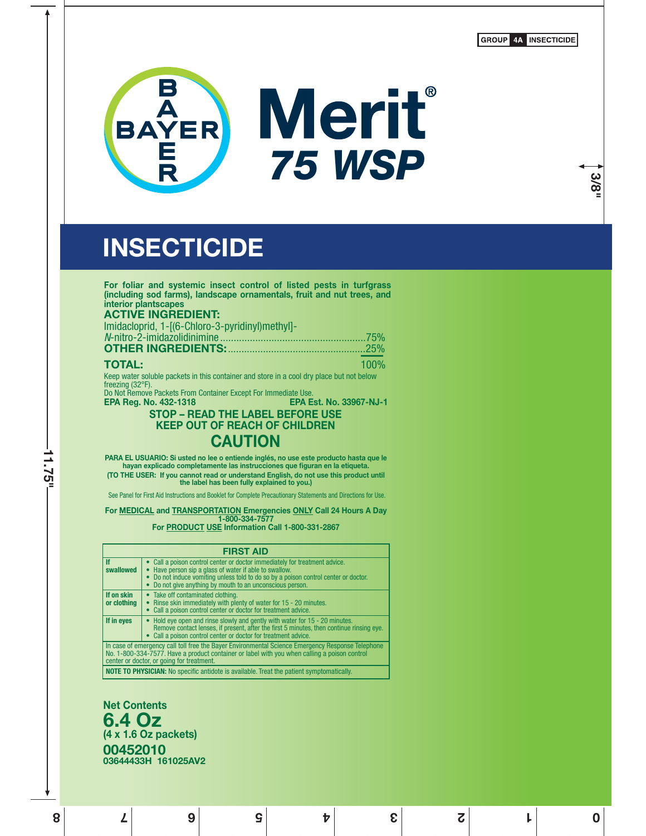**GROUP 4A INSECTICIDE** 

**3/8"**



# **INSECTICIDE**

| For foliar and systemic insect control of listed pests in turfgrass<br>(including sod farms), landscape ornamentals, fruit and nut trees, and<br>interior plantscapes                                                                                                                                        |
|--------------------------------------------------------------------------------------------------------------------------------------------------------------------------------------------------------------------------------------------------------------------------------------------------------------|
| <b>ACTIVE INGREDIENT:</b>                                                                                                                                                                                                                                                                                    |
| Imidacloprid, 1-[(6-Chloro-3-pyridinyl)methyl]-                                                                                                                                                                                                                                                              |
|                                                                                                                                                                                                                                                                                                              |
| <b>OTHER INGREDIENTS: 25%</b> 25%                                                                                                                                                                                                                                                                            |
| <b>TOTAL:</b><br>100%                                                                                                                                                                                                                                                                                        |
| Keep water soluble packets in this container and store in a cool dry place but not below<br>freezing $(32^{\circ}F)$ .                                                                                                                                                                                       |
| Do Not Remove Packets From Container Except For Immediate Use.<br><b>EPA Est. No. 33967-NJ-1</b><br><b>EPA Reg. No. 432-1318</b>                                                                                                                                                                             |
| <b>STOP - READ THE LABEL BEFORE USE</b><br><b>KEEP OUT OF REACH OF CHILDREN</b>                                                                                                                                                                                                                              |
| <b>CAUTION</b>                                                                                                                                                                                                                                                                                               |
| PARA EL USUARIO: Si usted no lee o entiende inglés, no use este producto hasta que le<br>hayan explicado completamente las instrucciones que figuran en la etiqueta.<br>(TO THE USER: If you cannot read or understand English, do not use this product until<br>the label has been fully explained to you.) |
| See Panel for First Aid Instructions and Booklet for Complete Precautionary Statements and Directions for Use.                                                                                                                                                                                               |
| For MEDICAL and TRANSPORTATION Emergencies ONLY Call 24 Hours A Day<br>1-800-334-7577                                                                                                                                                                                                                        |
| For PRODUCT USE Information Call 1-800-331-2867                                                                                                                                                                                                                                                              |
| <b>FIRST AID</b>                                                                                                                                                                                                                                                                                             |

|                           | FINDI AID                                                                                                                                                                                                                                                                              |
|---------------------------|----------------------------------------------------------------------------------------------------------------------------------------------------------------------------------------------------------------------------------------------------------------------------------------|
| <b>If</b><br>swallowed    | • Call a poison control center or doctor immediately for treatment advice.<br>• Have person sip a glass of water if able to swallow.<br>• Do not induce vomiting unless told to do so by a poison control center or doctor.<br>Do not give anything by mouth to an unconscious person. |
| If on skin<br>or clothing | • Take off contaminated clothing.<br>• Rinse skin immediately with plenty of water for 15 - 20 minutes.<br>Call a poison control center or doctor for treatment advice.                                                                                                                |
| If in eyes                | Hold eye open and rinse slowly and gently with water for 15 - 20 minutes.<br>Remove contact lenses, if present, after the first 5 minutes, then continue rinsing eye.<br>• Call a poison control center or doctor for treatment advice.                                                |
|                           | In case of emergency call toll free the Bayer Environmental Science Emergency Response Telephone<br>No. 1-800-334-7577. Have a product container or label with you when calling a poison control<br>center or doctor, or going for treatment.                                          |
|                           | MOTE TO DIVOIDIAM, No consider politicia in qualified a Treat the political construction that                                                                                                                                                                                          |

**1 0 2345678**

**NOTE TO PHYSIC** 

**Net Contents 6.4 Oz (4 x 1.6 Oz packets) 00452010 03644433H 161025AV2**